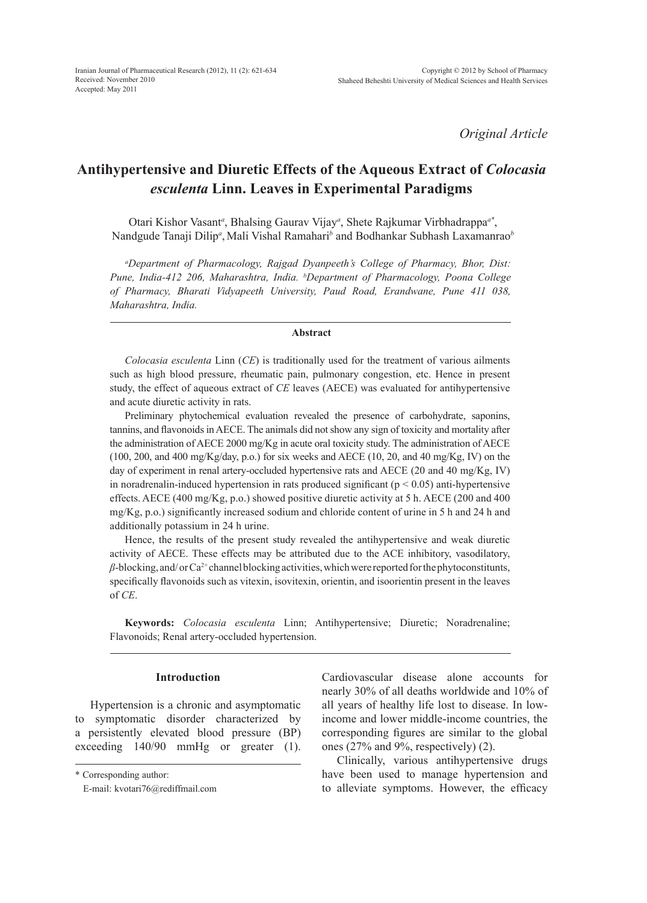*Original Article*

## **Antihypertensive and Diuretic Effects of the Aqueous Extract of** *Colocasia esculenta* **Linn. Leaves in Experimental Paradigms**

Otari Kishor Vasant*<sup>a</sup>* , Bhalsing Gaurav Vijay*<sup>a</sup>* , Shete Rajkumar Virbhadrappa*a\**, Nandgude Tanaji Dilip<sup>a</sup>, Mali Vishal Ramahari<sup>b</sup> and Bodhankar Subhash Laxamanrao<sup>b</sup>

*a Department of Pharmacology, Rajgad Dyanpeeth's College of Pharmacy, Bhor, Dist: Pune, India-412 206, Maharashtra, India. b Department of Pharmacology, Poona College of Pharmacy, Bharati Vidyapeeth University, Paud Road, Erandwane, Pune 411 038, Maharashtra, India.*

#### **Abstract**

*Colocasia esculenta* Linn (*CE*) is traditionally used for the treatment of various ailments such as high blood pressure, rheumatic pain, pulmonary congestion, etc. Hence in present study, the effect of aqueous extract of *CE* leaves (AECE) was evaluated for antihypertensive and acute diuretic activity in rats.

Preliminary phytochemical evaluation revealed the presence of carbohydrate, saponins, tannins, and flavonoids in AECE. The animals did not show any sign of toxicity and mortality after the administration of AECE 2000 mg/Kg in acute oral toxicity study. The administration of AECE  $(100, 200, \text{ and } 400 \text{ mg/Kg/day}, p.o.)$  for six weeks and AECE  $(10, 20, \text{ and } 40 \text{ mg/Kg}, IV)$  on the day of experiment in renal artery-occluded hypertensive rats and AECE (20 and 40 mg/Kg, IV) in noradrenalin-induced hypertension in rats produced significant ( $p < 0.05$ ) anti-hypertensive effects. AECE (400 mg/Kg, p.o.) showed positive diuretic activity at 5 h. AECE (200 and 400 mg/Kg, p.o.) significantly increased sodium and chloride content of urine in 5 h and 24 h and additionally potassium in 24 h urine.

Hence, the results of the present study revealed the antihypertensive and weak diuretic activity of AECE. These effects may be attributed due to the ACE inhibitory, vasodilatory,  $\beta$ -blocking, and/ or Ca<sup>2+</sup> channel blocking activities, which were reported for the phytoconstitunts, specifically flavonoids such as vitexin, isovitexin, orientin, and isoorientin present in the leaves of *CE*.

**Keywords:** *Colocasia esculenta* Linn; Antihypertensive; Diuretic; Noradrenaline; Flavonoids; Renal artery-occluded hypertension.

## **Introduction**

Hypertension is a chronic and asymptomatic to symptomatic disorder characterized by a persistently elevated blood pressure (BP) exceeding 140/90 mmHg or greater (1). Cardiovascular disease alone accounts for nearly 30% of all deaths worldwide and 10% of all years of healthy life lost to disease. In lowincome and lower middle-income countries, the corresponding figures are similar to the global ones (27% and 9%, respectively) (2).

Clinically, various antihypertensive drugs have been used to manage hypertension and to alleviate symptoms. However, the efficacy

<sup>\*</sup> Corresponding author:

E-mail: kvotari76@rediffmail.com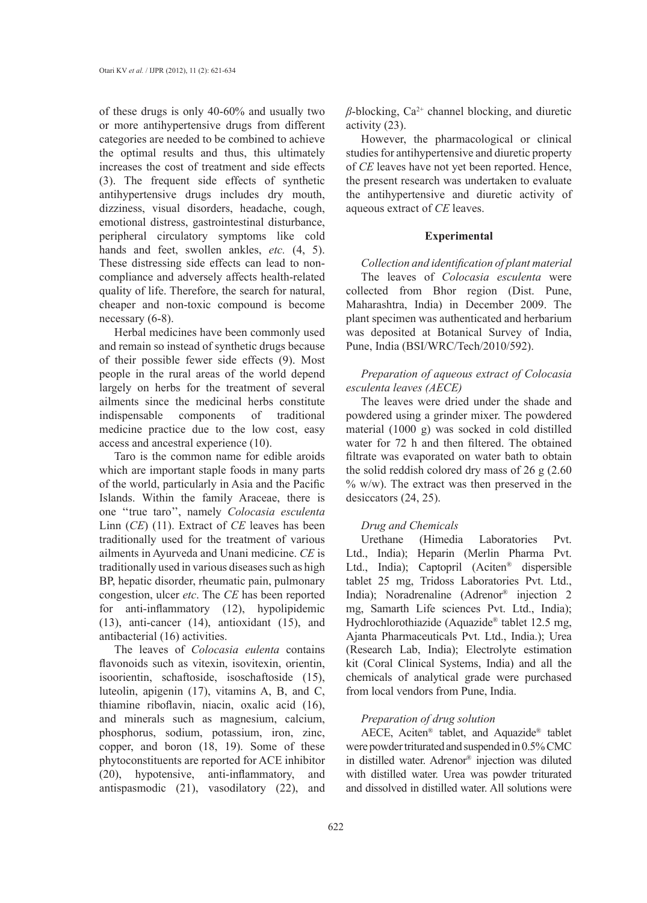of these drugs is only 40-60% and usually two or more antihypertensive drugs from different categories are needed to be combined to achieve the optimal results and thus, this ultimately increases the cost of treatment and side effects (3). The frequent side effects of synthetic antihypertensive drugs includes dry mouth, dizziness, visual disorders, headache, cough, emotional distress, gastrointestinal disturbance, peripheral circulatory symptoms like cold hands and feet, swollen ankles, *etc.* (4, 5). These distressing side effects can lead to noncompliance and adversely affects health-related quality of life. Therefore, the search for natural, cheaper and non-toxic compound is become necessary (6-8).

Herbal medicines have been commonly used and remain so instead of synthetic drugs because of their possible fewer side effects (9). Most people in the rural areas of the world depend largely on herbs for the treatment of several ailments since the medicinal herbs constitute indispensable components of traditional medicine practice due to the low cost, easy access and ancestral experience (10).

Taro is the common name for edible aroids which are important staple foods in many parts of the world, particularly in Asia and the Pacific Islands. Within the family Araceae, there is one ''true taro'', namely *Colocasia esculenta*  Linn (*CE*) (11). Extract of *CE* leaves has been traditionally used for the treatment of various ailments in Ayurveda and Unani medicine. *CE* is traditionally used in various diseases such as high BP, hepatic disorder, rheumatic pain, pulmonary congestion, ulcer *etc*. The *CE* has been reported for anti-inflammatory (12), hypolipidemic (13), anti-cancer (14), antioxidant (15), and antibacterial (16) activities.

The leaves of *Colocasia eulenta* contains flavonoids such as vitexin, isovitexin, orientin, isoorientin, schaftoside, isoschaftoside (15), luteolin, apigenin (17), vitamins A, B, and C, thiamine riboflavin, niacin, oxalic acid (16), and minerals such as magnesium, calcium, phosphorus, sodium, potassium, iron, zinc, copper, and boron (18, 19). Some of these phytoconstituents are reported for ACE inhibitor (20), hypotensive, anti-inflammatory, and antispasmodic (21), vasodilatory (22), and  $\beta$ -blocking, Ca<sup>2+</sup> channel blocking, and diuretic activity (23).

However, the pharmacological or clinical studies for antihypertensive and diuretic property of *CE* leaves have not yet been reported. Hence, the present research was undertaken to evaluate the antihypertensive and diuretic activity of aqueous extract of *CE* leaves.

## **Experimental**

*Collection and identification of plant material* The leaves of *Colocasia esculenta* were collected from Bhor region (Dist. Pune, Maharashtra, India) in December 2009. The plant specimen was authenticated and herbarium was deposited at Botanical Survey of India, Pune, India (BSI/WRC/Tech/2010/592).

## *Preparation of aqueous extract of Colocasia esculenta leaves (AECE)*

The leaves were dried under the shade and powdered using a grinder mixer. The powdered material (1000 g) was socked in cold distilled water for 72 h and then filtered. The obtained filtrate was evaporated on water bath to obtain the solid reddish colored dry mass of 26 g (2.60 % w/w). The extract was then preserved in the desiccators (24, 25).

# *Drug and Chemicals*

(Himedia Laboratories Pvt. Ltd., India); Heparin (Merlin Pharma Pvt. Ltd., India); Captopril (Aciten® dispersible tablet 25 mg, Tridoss Laboratories Pvt. Ltd., India); Noradrenaline (Adrenor® injection 2 mg, Samarth Life sciences Pvt. Ltd., India); Hydrochlorothiazide (Aquazide® tablet 12.5 mg, Ajanta Pharmaceuticals Pvt. Ltd., India.); Urea (Research Lab, India); Electrolyte estimation kit (Coral Clinical Systems, India) and all the chemicals of analytical grade were purchased from local vendors from Pune, India.

## *Preparation of drug solution*

AECE, Aciten® tablet, and Aquazide® tablet were powder triturated and suspended in 0.5% CMC in distilled water. Adrenor® injection was diluted with distilled water. Urea was powder triturated and dissolved in distilled water. All solutions were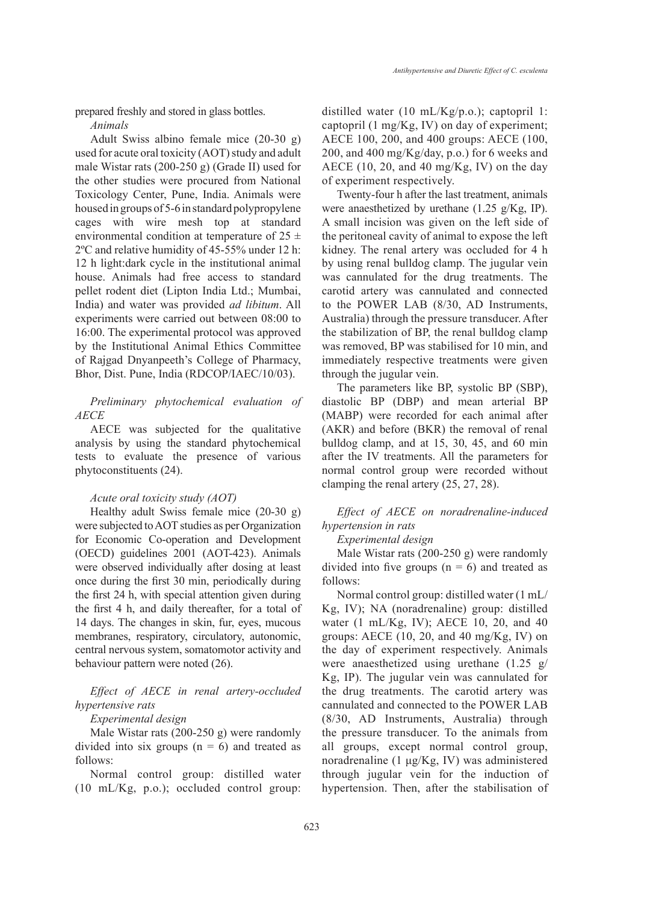prepared freshly and stored in glass bottles.

*Animals*

Adult Swiss albino female mice (20-30 g) used for acute oral toxicity (AOT) study and adult male Wistar rats (200-250 g) (Grade II) used for the other studies were procured from National Toxicology Center, Pune, India. Animals were housed in groups of 5-6 in standard polypropylene cages with wire mesh top at standard environmental condition at temperature of  $25 \pm$ 2ºC and relative humidity of 45-55% under 12 h: 12 h light:dark cycle in the institutional animal house. Animals had free access to standard pellet rodent diet (Lipton India Ltd.; Mumbai, India) and water was provided *ad libitum*. All experiments were carried out between 08:00 to 16:00. The experimental protocol was approved by the Institutional Animal Ethics Committee of Rajgad Dnyanpeeth's College of Pharmacy, Bhor, Dist. Pune, India (RDCOP/IAEC/10/03).

*Preliminary phytochemical evaluation of AECE*

AECE was subjected for the qualitative analysis by using the standard phytochemical tests to evaluate the presence of various phytoconstituents (24).

#### *Acute oral toxicity study (AOT)*

Healthy adult Swiss female mice (20-30 g) were subjected to AOT studies as per Organization for Economic Co-operation and Development (OECD) guidelines 2001 (AOT-423). Animals were observed individually after dosing at least once during the first 30 min, periodically during the first 24 h, with special attention given during the first 4 h, and daily thereafter, for a total of 14 days. The changes in skin, fur, eyes, mucous membranes, respiratory, circulatory, autonomic, central nervous system, somatomotor activity and behaviour pattern were noted (26).

*Effect of AECE in renal artery-occluded hypertensive rats*

## *Experimental design*

Male Wistar rats (200-250 g) were randomly divided into six groups  $(n = 6)$  and treated as follows:

Normal control group: distilled water (10 mL/Kg, p.o.); occluded control group: distilled water (10 mL/Kg/p.o.); captopril 1: captopril (1 mg/Kg, IV) on day of experiment; AECE 100, 200, and 400 groups: AECE (100, 200, and 400 mg/Kg/day, p.o.) for 6 weeks and AECE  $(10, 20,$  and  $40 \text{ mg/Kg}$ , IV) on the day of experiment respectively.

Twenty-four h after the last treatment, animals were anaesthetized by urethane (1.25 g/Kg, IP). A small incision was given on the left side of the peritoneal cavity of animal to expose the left kidney. The renal artery was occluded for 4 h by using renal bulldog clamp. The jugular vein was cannulated for the drug treatments. The carotid artery was cannulated and connected to the POWER LAB (8/30, AD Instruments, Australia) through the pressure transducer. After the stabilization of BP, the renal bulldog clamp was removed, BP was stabilised for 10 min, and immediately respective treatments were given through the jugular vein.

The parameters like BP, systolic BP (SBP), diastolic BP (DBP) and mean arterial BP (MABP) were recorded for each animal after (AKR) and before (BKR) the removal of renal bulldog clamp, and at 15, 30, 45, and 60 min after the IV treatments. All the parameters for normal control group were recorded without clamping the renal artery (25, 27, 28).

## *Effect of AECE on noradrenaline-induced hypertension in rats*

#### *Experimental design*

Male Wistar rats (200-250 g) were randomly divided into five groups  $(n = 6)$  and treated as follows:

Normal control group: distilled water (1 mL/ Kg, IV); NA (noradrenaline) group: distilled water (1 mL/Kg, IV); AECE 10, 20, and 40 groups: AECE (10, 20, and 40 mg/Kg, IV) on the day of experiment respectively. Animals were anaesthetized using urethane (1.25 g/ Kg, IP). The jugular vein was cannulated for the drug treatments. The carotid artery was cannulated and connected to the POWER LAB (8/30, AD Instruments, Australia) through the pressure transducer. To the animals from all groups, except normal control group, noradrenaline (1 μg/Kg, IV) was administered through jugular vein for the induction of hypertension. Then, after the stabilisation of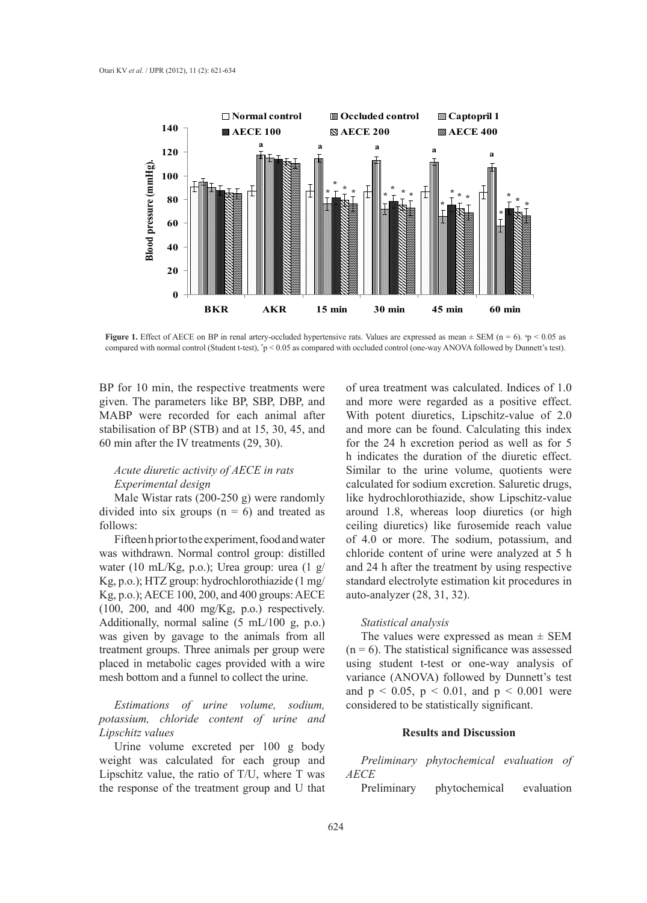

**Figure 1.** Effect of AECE on BP in renal artery-occluded hypertensive rats. Values are expressed as mean  $\pm$  SEM (n = 6).  $p < 0.05$  as compared with normal control (Student t-test), \* p < 0.05 as compared with occluded control (one-way ANOVA followed by Dunnett's test).

BP for 10 min, the respective treatments were given. The parameters like BP, SBP, DBP, and MABP were recorded for each animal after stabilisation of BP (STB) and at 15, 30, 45, and 60 min after the IV treatments (29, 30).

## *Acute diuretic activity of AECE in rats Experimental design*

Male Wistar rats (200-250 g) were randomly divided into six groups  $(n = 6)$  and treated as follows:

Fifteen h prior to the experiment, food and water was withdrawn. Normal control group: distilled water (10 mL/Kg, p.o.); Urea group: urea (1 g/ Kg, p.o.); HTZ group: hydrochlorothiazide (1 mg/ Kg, p.o.); AECE 100, 200, and 400 groups: AECE (100, 200, and 400 mg/Kg, p.o.) respectively. Additionally, normal saline  $(5 \text{ mL}/100 \text{ g}, \text{ p.o.})$ was given by gavage to the animals from all treatment groups. Three animals per group were placed in metabolic cages provided with a wire mesh bottom and a funnel to collect the urine.

*Estimations of urine volume, sodium, potassium, chloride content of urine and Lipschitz values*

Urine volume excreted per 100 g body weight was calculated for each group and Lipschitz value, the ratio of T/U, where T was the response of the treatment group and U that of urea treatment was calculated. Indices of 1.0 and more were regarded as a positive effect. With potent diuretics, Lipschitz-value of 2.0 and more can be found. Calculating this index for the 24 h excretion period as well as for 5 h indicates the duration of the diuretic effect. Similar to the urine volume, quotients were calculated for sodium excretion. Saluretic drugs, like hydrochlorothiazide, show Lipschitz-value around 1.8, whereas loop diuretics (or high ceiling diuretics) like furosemide reach value of 4.0 or more. The sodium, potassium, and chloride content of urine were analyzed at 5 h and 24 h after the treatment by using respective standard electrolyte estimation kit procedures in auto-analyzer (28, 31, 32).

#### *Statistical analysis*

The values were expressed as mean  $\pm$  SEM  $(n = 6)$ . The statistical significance was assessed using student t-test or one-way analysis of variance (ANOVA) followed by Dunnett's test and  $p < 0.05$ ,  $p < 0.01$ , and  $p < 0.001$  were considered to be statistically significant.

## **Results and Discussion**

*Preliminary phytochemical evaluation of AECE*

Preliminary phytochemical evaluation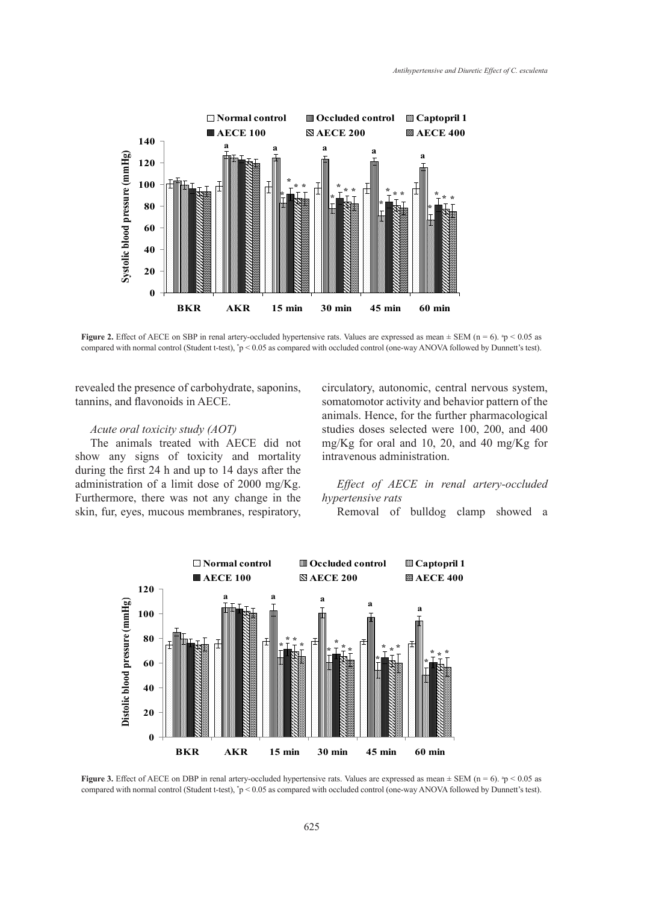

**Figure 2.** Effect of AECE on SBP in renal artery-occluded hypertensive rats. Values are expressed as mean  $\pm$  SEM (n = 6).  $n_p < 0.05$  as compared with normal control (Student t-test), \* p < 0.05 as compared with occluded control (one-way ANOVA followed by Dunnett's test).

revealed the presence of carbohydrate, saponins, tannins, and flavonoids in AECE.

## *Acute oral toxicity study (AOT)*

The animals treated with AECE did not show any signs of toxicity and mortality during the first 24 h and up to 14 days after the administration of a limit dose of 2000 mg/Kg. Furthermore, there was not any change in the skin, fur, eyes, mucous membranes, respiratory, circulatory, autonomic, central nervous system, somatomotor activity and behavior pattern of the animals. Hence, for the further pharmacological studies doses selected were 100, 200, and 400 mg/Kg for oral and 10, 20, and 40 mg/Kg for intravenous administration.

## *Effect of AECE in renal artery-occluded hypertensive rats*

Removal of bulldog clamp showed a



**Figure 3.** Effect of AECE on DBP in renal artery-occluded hypertensive rats. Values are expressed as mean  $\pm$  SEM (n = 6).  $n_p < 0.05$  as compared with normal control (Student t-test), \* p < 0.05 as compared with occluded control (one-way ANOVA followed by Dunnett's test).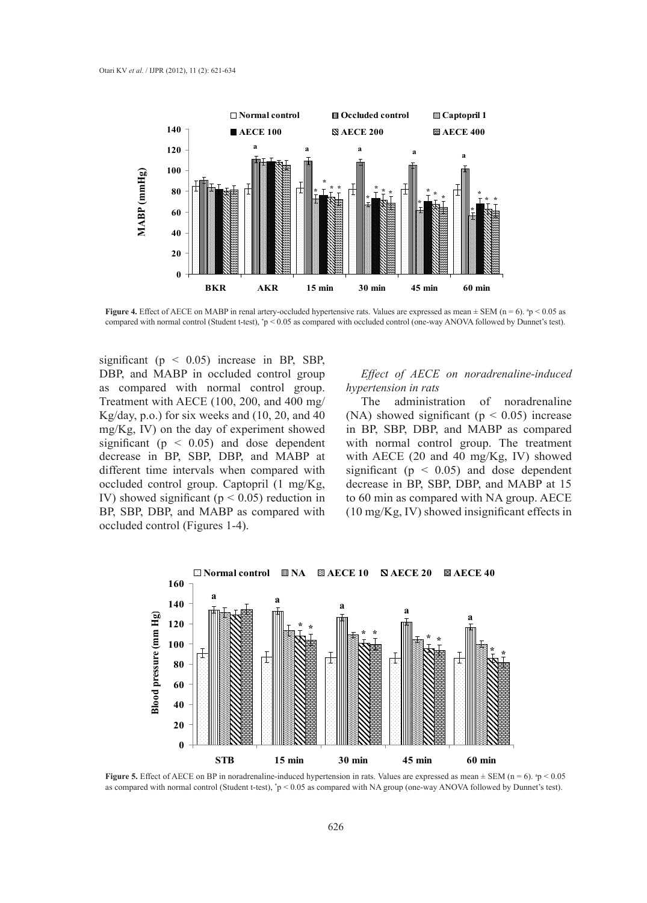

**Figure 4.** Effect of AECE on MABP in renal artery-occluded hypertensive rats. Values are expressed as mean  $\pm$  SEM (n = 6).  $^{10}$   $\approx$  0.05 as compared with normal control (Student t-test), \* p < 0.05 as compared with occluded control (one-way ANOVA followed by Dunnet's test).

significant ( $p \leq 0.05$ ) increase in BP, SBP, DBP, and MABP in occluded control group as compared with normal control group. Treatment with AECE (100, 200, and 400 mg/ Kg/day, p.o.) for six weeks and (10, 20, and 40 mg/Kg, IV) on the day of experiment showed significant ( $p \leq 0.05$ ) and dose dependent decrease in BP, SBP, DBP, and MABP at different time intervals when compared with occluded control group. Captopril (1 mg/Kg, IV) showed significant ( $p < 0.05$ ) reduction in BP, SBP, DBP, and MABP as compared with occluded control (Figures 1-4).

## *Effect of AECE on noradrenaline-induced hypertension in rats*

The administration of noradrenaline (NA) showed significant ( $p < 0.05$ ) increase in BP, SBP, DBP, and MABP as compared with normal control group. The treatment with AECE (20 and 40 mg/Kg, IV) showed significant ( $p < 0.05$ ) and dose dependent decrease in BP, SBP, DBP, and MABP at 15 to 60 min as compared with NA group. AECE (10 mg/Kg, IV) showed insignificant effects in



**Figure 5.** Effect of AECE on BP in noradrenaline-induced hypertension in rats. Values are expressed as mean  $\pm$  SEM (n = 6).  $\degree$ p < 0.05 as compared with normal control (Student t-test), \* p < 0.05 as compared with NA group (one-way ANOVA followed by Dunnet's test).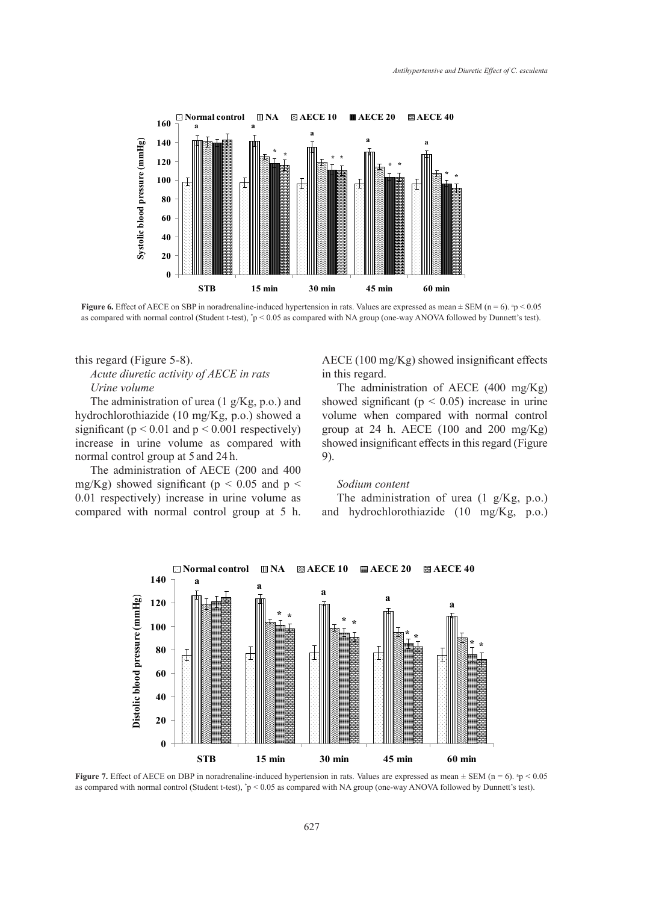

**Figure 6.** Effect of AECE on SBP in noradrenaline-induced hypertension in rats. Values are expressed as mean  $\pm$  SEM (n = 6).  $p < 0.05$ as compared with normal control (Student t-test), \* p < 0.05 as compared with NA group (one-way ANOVA followed by Dunnett's test).

## this regard (Figure 5-8). *Acute diuretic activity of AECE in rats Urine volume*

The administration of urea (1 g/Kg, p.o.) and hydrochlorothiazide (10 mg/Kg, p.o.) showed a significant ( $p < 0.01$  and  $p < 0.001$  respectively) increase in urine volume as compared with normal control group at 5 and 24 h.

The administration of AECE (200 and 400 mg/Kg) showed significant ( $p < 0.05$  and  $p <$ 0.01 respectively) increase in urine volume as compared with normal control group at 5 h. AECE (100 mg/Kg) showed insignificant effects in this regard.

The administration of AECE (400 mg/Kg) showed significant ( $p < 0.05$ ) increase in urine volume when compared with normal control group at 24 h. AECE (100 and 200 mg/Kg) showed insignificant effects in this regard (Figure 9).

#### *Sodium content*

The administration of urea (1 g/Kg, p.o.) and hydrochlorothiazide (10 mg/Kg, p.o.)



**Figure 7.** Effect of AECE on DBP in noradrenaline-induced hypertension in rats. Values are expressed as mean  $\pm$  SEM (n = 6).  $\degree$ p < 0.05 as compared with normal control (Student t-test), \* p < 0.05 as compared with NA group (one-way ANOVA followed by Dunnett's test).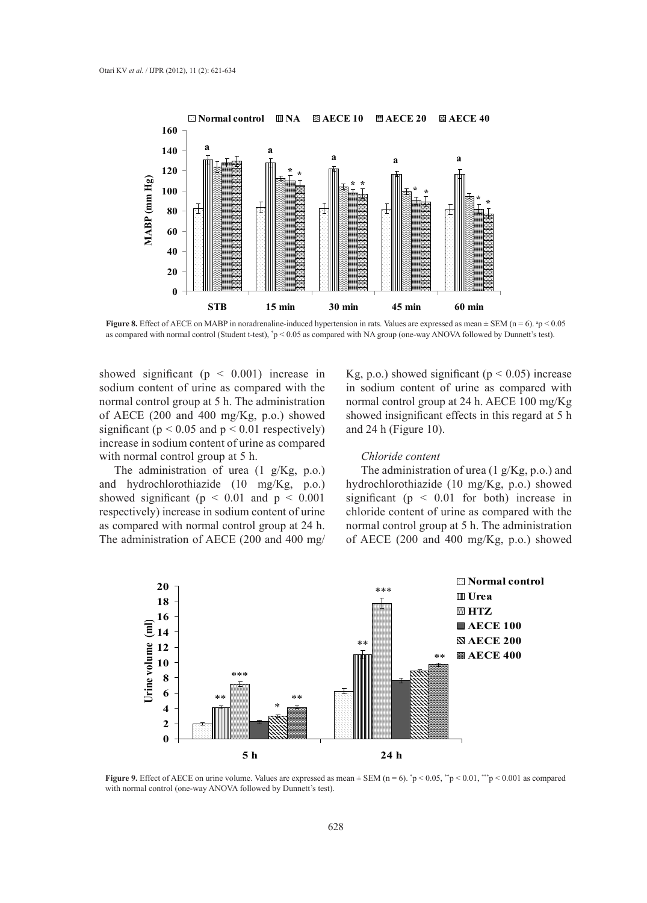

**Figure 8.** Effect of AECE on MABP in noradrenaline-induced hypertension in rats. Values are expressed as mean  $\pm$  SEM (n = 6).  ${}^{a}p$  < 0.05 as compared with normal control (Student t-test),  $p < 0.05$  as compared with NA group (one-way ANOVA followed by Dunnett's test).

showed significant ( $p \leq 0.001$ ) increase in sodium content of urine as compared with the normal control group at 5 h. The administration of AECE (200 and 400 mg/Kg, p.o.) showed significant ( $p < 0.05$  and  $p < 0.01$  respectively) increase in sodium content of urine as compared with normal control group at 5 h.

The administration of urea (1 g/Kg, p.o.) and hydrochlorothiazide (10 mg/Kg, p.o.) showed significant ( $p \le 0.01$  and  $p \le 0.001$ respectively) increase in sodium content of urine as compared with normal control group at 24 h. The administration of AECE (200 and 400 mg/ Kg, p.o.) showed significant ( $p < 0.05$ ) increase in sodium content of urine as compared with normal control group at 24 h. AECE 100 mg/Kg showed insignificant effects in this regard at 5 h and 24 h (Figure 10).

## *Chloride content*

The administration of urea (1 g/Kg, p.o.) and hydrochlorothiazide (10 mg/Kg, p.o.) showed significant ( $p \le 0.01$  for both) increase in chloride content of urine as compared with the normal control group at 5 h. The administration of AECE (200 and 400 mg/Kg, p.o.) showed



**Figure 9.** Effect of AECE on urine volume. Values are expressed as mean  $\pm$  SEM (n = 6).  $\gamma$   $\approx$  0.05,  $\gamma$   $\gamma$   $\approx$  0.001,  $\gamma$   $\approx$  0.001 as compared with normal control (one-way ANOVA followed by Dunnett's test).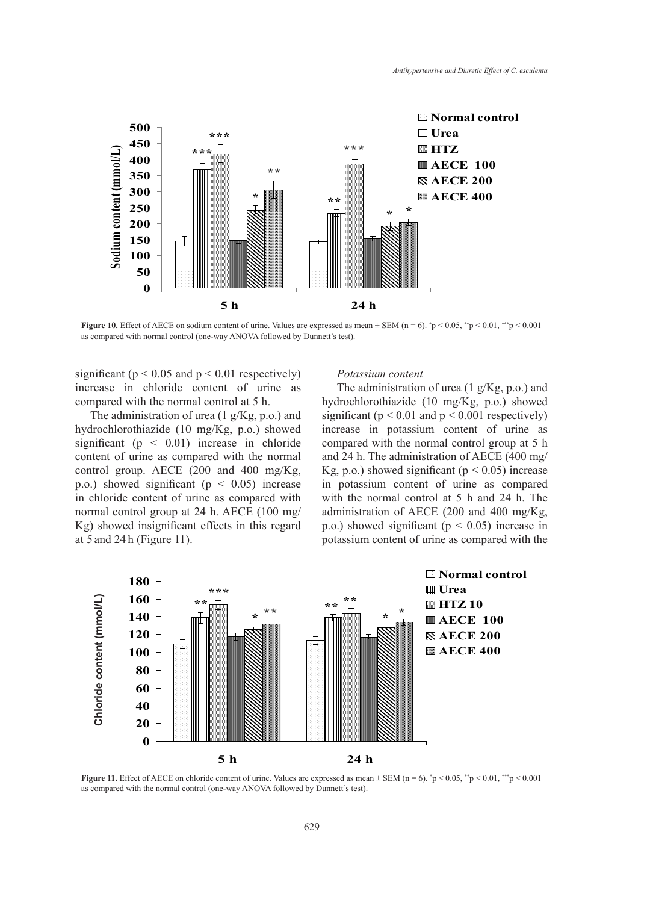

**Figure 10.** Effect of AECE on sodium content of urine. Values are expressed as mean  $\pm$  SEM (n = 6).  $\frac{*}{p}$   $\leq$  0.05,  $\frac{*}{p}$   $\leq$  0.01,  $\frac{**}{p}$   $\leq$  0.001 as compared with normal control (one-way ANOVA followed by Dunnett's test).

significant ( $p < 0.05$  and  $p < 0.01$  respectively) increase in chloride content of urine as compared with the normal control at 5 h.

The administration of urea (1 g/Kg, p.o.) and hydrochlorothiazide (10 mg/Kg, p.o.) showed significant ( $p \leq 0.01$ ) increase in chloride content of urine as compared with the normal control group. AECE (200 and 400 mg/Kg, p.o.) showed significant ( $p < 0.05$ ) increase in chloride content of urine as compared with normal control group at 24 h. AECE (100 mg/ Kg) showed insignificant effects in this regard at 5 and 24 h (Figure 11).

#### *Potassium content*

The administration of urea (1 g/Kg, p.o.) and hydrochlorothiazide (10 mg/Kg, p.o.) showed significant ( $p < 0.01$  and  $p < 0.001$  respectively) increase in potassium content of urine as compared with the normal control group at 5 h and 24 h. The administration of AECE (400 mg/ Kg, p.o.) showed significant ( $p < 0.05$ ) increase in potassium content of urine as compared with the normal control at 5 h and 24 h. The administration of AECE (200 and 400 mg/Kg, p.o.) showed significant ( $p < 0.05$ ) increase in potassium content of urine as compared with the



**Figure 11.** Effect of AECE on chloride content of urine. Values are expressed as mean  $\pm$  SEM (n = 6).  $\frac{*}{p}$  < 0.05,  $\frac{*}{p}$  < 0.01,  $\frac{**}{p}$  < 0.001 as compared with the normal control (one-way ANOVA followed by Dunnett's test).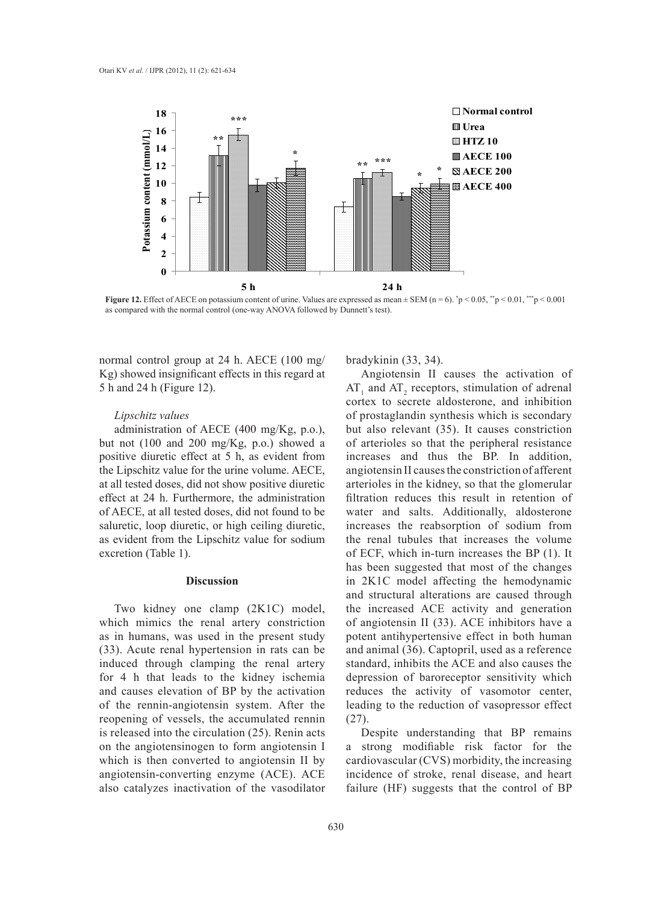

**Figure 12.** Effect of AECE on potassium content of urine. Values are expressed as mean  $\pm$  SEM (n = 6).  $\gamma$   $> 0.05$ ,  $\gamma$   $\gamma$   $> 0.01$ ,  $\gamma$   $\gamma$   $> 0.001$ as compared with the normal control (one-way ANOVA followed by Dunnett's test).

normal control group at 24 h. AECE (100 mg/ Kg) showed insignificant effects in this regard at 5 h and 24 h (Figure 12).

#### *Lipschitz values*

administration of AECE (400 mg/Kg, p.o.), but not (100 and 200 mg/Kg, p.o.) showed a positive diuretic effect at 5 h, as evident from the Lipschitz value for the urine volume. AECE, at all tested doses, did not show positive diuretic effect at 24 h. Furthermore, the administration of AECE, at all tested doses, did not found to be saluretic, loop diuretic, or high ceiling diuretic, as evident from the Lipschitz value for sodium excretion (Table 1).

## **Discussion**

Two kidney one clamp (2K1C) model, which mimics the renal artery constriction as in humans, was used in the present study (33). Acute renal hypertension in rats can be induced through clamping the renal artery for 4 h that leads to the kidney ischemia and causes elevation of BP by the activation of the rennin-angiotensin system. After the reopening of vessels, the accumulated rennin is released into the circulation (25). Renin acts on the angiotensinogen to form angiotensin I which is then converted to angiotensin II by angiotensin-converting enzyme (ACE). ACE also catalyzes inactivation of the vasodilator

bradykinin (33, 34).

Angiotensin II causes the activation of  $AT_1$  and  $AT_2$  receptors, stimulation of adrenal cortex to secrete aldosterone, and inhibition of prostaglandin synthesis which is secondary but also relevant (35). It causes constriction of arterioles so that the peripheral resistance increases and thus the BP. In addition, angiotensin II causes the constriction of afferent arterioles in the kidney, so that the glomerular filtration reduces this result in retention of water and salts. Additionally, aldosterone increases the reabsorption of sodium from the renal tubules that increases the volume of ECF, which in-turn increases the BP (1). It has been suggested that most of the changes in 2K1C model affecting the hemodynamic and structural alterations are caused through the increased ACE activity and generation of angiotensin II (33). ACE inhibitors have a potent antihypertensive effect in both human and animal (36). Captopril, used as a reference standard, inhibits the ACE and also causes the depression of baroreceptor sensitivity which reduces the activity of vasomotor center, leading to the reduction of vasopressor effect (27).

Despite understanding that BP remains a strong modifiable risk factor for the cardiovascular (CVS) morbidity, the increasing incidence of stroke, renal disease, and heart failure (HF) suggests that the control of BP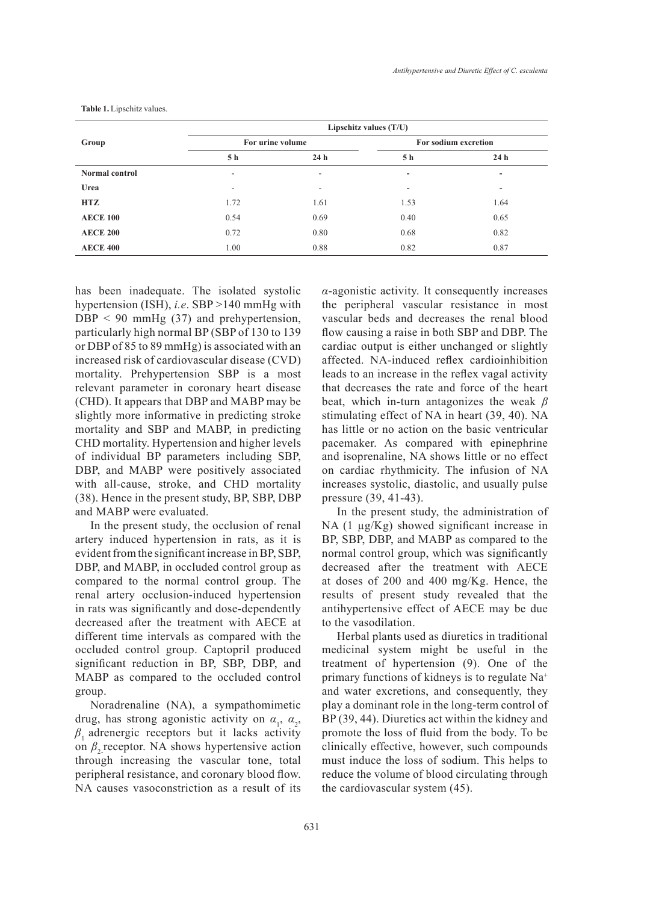| Group                 | Lipschitz values $(T/U)$ |                 |                      |      |
|-----------------------|--------------------------|-----------------|----------------------|------|
|                       | For urine volume         |                 | For sodium excretion |      |
|                       | 5 h                      | 24 <sub>h</sub> | 5h                   | 24 h |
| <b>Normal control</b> |                          |                 | -                    |      |

**Urea** - - **- - HTZ** 1.72 1.61 1.53 1.64 **AECE 100** 0.54 0.69 0.40 0.65 **AECE 200** 0.72 0.80 0.68 0.82 **AECE 400** 1.00 0.88 0.82 0.87

**Table 1.** Lipschitz values.

has been inadequate. The isolated systolic hypertension (ISH), *i.e*. SBP >140 mmHg with  $DBP < 90$  mmHg (37) and prehypertension, particularly high normal BP (SBP of 130 to 139 or DBP of 85 to 89 mmHg) is associated with an increased risk of cardiovascular disease (CVD) mortality. Prehypertension SBP is a most relevant parameter in coronary heart disease (CHD). It appears that DBP and MABP may be slightly more informative in predicting stroke mortality and SBP and MABP, in predicting CHD mortality. Hypertension and higher levels of individual BP parameters including SBP, DBP, and MABP were positively associated with all-cause, stroke, and CHD mortality (38). Hence in the present study, BP, SBP, DBP and MABP were evaluated.

In the present study, the occlusion of renal artery induced hypertension in rats, as it is evident from the significant increase in BP, SBP, DBP, and MABP, in occluded control group as compared to the normal control group. The renal artery occlusion-induced hypertension in rats was significantly and dose-dependently decreased after the treatment with AECE at different time intervals as compared with the occluded control group. Captopril produced significant reduction in BP, SBP, DBP, and MABP as compared to the occluded control group.

Noradrenaline (NA), a sympathomimetic drug, has strong agonistic activity on  $\alpha_1$ ,  $\alpha_2$ ,  $\beta$  adrenergic receptors but it lacks activity on  $\beta_2$  receptor. NA shows hypertensive action through increasing the vascular tone, total peripheral resistance, and coronary blood flow. NA causes vasoconstriction as a result of its

*α*-agonistic activity. It consequently increases the peripheral vascular resistance in most vascular beds and decreases the renal blood flow causing a raise in both SBP and DBP. The cardiac output is either unchanged or slightly affected. NA-induced reflex cardioinhibition leads to an increase in the reflex vagal activity that decreases the rate and force of the heart beat, which in-turn antagonizes the weak *β* stimulating effect of NA in heart (39, 40). NA has little or no action on the basic ventricular pacemaker. As compared with epinephrine and isoprenaline, NA shows little or no effect on cardiac rhythmicity. The infusion of NA increases systolic, diastolic, and usually pulse pressure (39, 41-43).

In the present study, the administration of NA (1 µg/Kg) showed significant increase in BP, SBP, DBP, and MABP as compared to the normal control group, which was significantly decreased after the treatment with AECE at doses of 200 and 400 mg/Kg. Hence, the results of present study revealed that the antihypertensive effect of AECE may be due to the vasodilation.

Herbal plants used as diuretics in traditional medicinal system might be useful in the treatment of hypertension (9). One of the primary functions of kidneys is to regulate Na+ and water excretions, and consequently, they play a dominant role in the long-term control of BP (39, 44). Diuretics act within the kidney and promote the loss of fluid from the body. To be clinically effective, however, such compounds must induce the loss of sodium. This helps to reduce the volume of blood circulating through the cardiovascular system (45).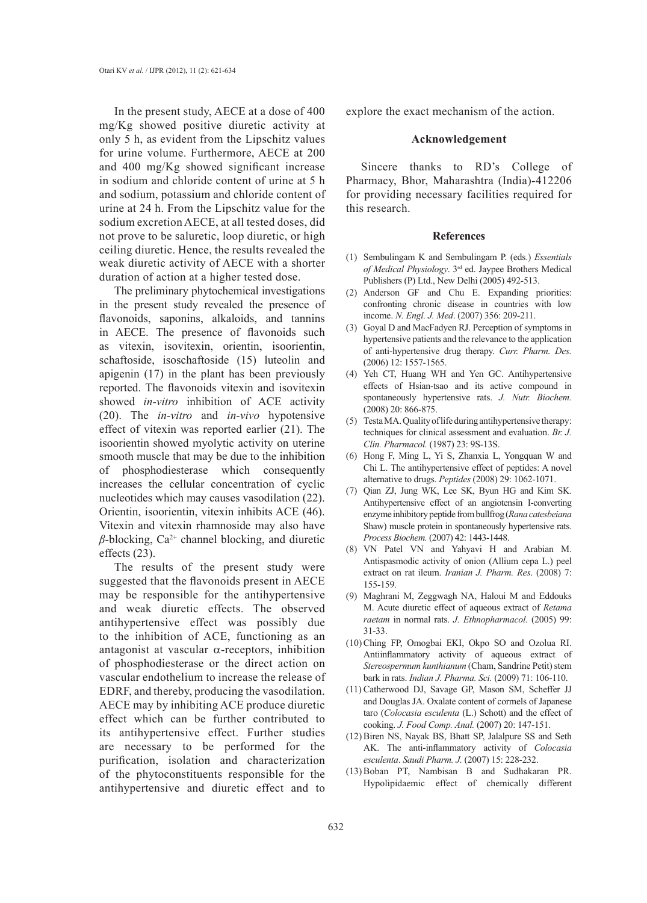In the present study, AECE at a dose of 400 mg/Kg showed positive diuretic activity at only 5 h, as evident from the Lipschitz values for urine volume. Furthermore, AECE at 200 and 400 mg/Kg showed significant increase in sodium and chloride content of urine at 5 h and sodium, potassium and chloride content of urine at 24 h. From the Lipschitz value for the sodium excretion AECE, at all tested doses, did not prove to be saluretic, loop diuretic, or high ceiling diuretic. Hence, the results revealed the weak diuretic activity of AECE with a shorter duration of action at a higher tested dose.

The preliminary phytochemical investigations in the present study revealed the presence of flavonoids, saponins, alkaloids, and tannins in AECE. The presence of flavonoids such as vitexin, isovitexin, orientin, isoorientin, schaftoside, isoschaftoside (15) luteolin and apigenin (17) in the plant has been previously reported. The flavonoids vitexin and isovitexin showed *in-vitro* inhibition of ACE activity (20). The *in-vitro* and *in-vivo* hypotensive effect of vitexin was reported earlier (21). The isoorientin showed myolytic activity on uterine smooth muscle that may be due to the inhibition of phosphodiesterase which consequently increases the cellular concentration of cyclic nucleotides which may causes vasodilation (22). Orientin, isoorientin, vitexin inhibits ACE (46). Vitexin and vitexin rhamnoside may also have  $β$ -blocking, Ca<sup>2+</sup> channel blocking, and diuretic effects (23).

The results of the present study were suggested that the flavonoids present in AECE may be responsible for the antihypertensive and weak diuretic effects. The observed antihypertensive effect was possibly due to the inhibition of ACE, functioning as an antagonist at vascular  $\alpha$ -receptors, inhibition of phosphodiesterase or the direct action on vascular endothelium to increase the release of EDRF, and thereby, producing the vasodilation. AECE may by inhibiting ACE produce diuretic effect which can be further contributed to its antihypertensive effect. Further studies are necessary to be performed for the purification, isolation and characterization of the phytoconstituents responsible for the antihypertensive and diuretic effect and to

explore the exact mechanism of the action.

## **Acknowledgement**

Sincere thanks to RD's College of Pharmacy, Bhor, Maharashtra (India)-412206 for providing necessary facilities required for this research.

#### **References**

- Sembulingam K and Sembulingam P. (eds.) *Essentials*  (1) *of Medical Physiology*. 3rd ed. Jaypee Brothers Medical Publishers (P) Ltd., New Delhi (2005) 492-513.
- (2) Anderson GF and Chu E. Expanding priorities: confronting chronic disease in countries with low income. *N. Engl. J. Med*. (2007) 356: 209-211.
- (3) Goyal D and MacFadyen RJ. Perception of symptoms in hypertensive patients and the relevance to the application of anti-hypertensive drug therapy. *Curr. Pharm. Des.* (2006) 12: 1557-1565.
- (4) Yeh CT, Huang WH and Yen GC. Antihypertensive effects of Hsian-tsao and its active compound in spontaneously hypertensive rats. *J. Nutr. Biochem.* (2008) 20: 866-875.
- Testa MA. Quality of life during antihypertensive therapy: (5) techniques for clinical assessment and evaluation. *Br. J. Clin. Pharmacol.* (1987) 23: 9S-13S.
- (6) Hong F, Ming L, Yi S, Zhanxia L, Yongquan W and Chi L. The antihypertensive effect of peptides: A novel alternative to drugs. *Peptides* (2008) 29: 1062-1071.
- Qian ZJ, Jung WK, Lee SK, Byun HG and Kim SK. Antihypertensive effect of an angiotensin I-converting enzyme inhibitory peptide from bullfrog (*Rana catesbeiana* Shaw) muscle protein in spontaneously hypertensive rats. *Process Biochem.* (2007) 42: 1443-1448. (7)
- VN Patel VN and Yahyavi H and Arabian M. (8) Antispasmodic activity of onion (Allium cepa L.) peel extract on rat ileum. *Iranian J. Pharm. Res*. (2008) 7: 155-159.
- Maghrani M, Zeggwagh NA, Haloui M and Eddouks (9) M. Acute diuretic effect of aqueous extract of *Retama raetam* in normal rats. *J. Ethnopharmacol.* (2005) 99: 31-33.
- (10) Ching FP, Omogbai EKI, Okpo SO and Ozolua RI. Antiinflammatory activity of aqueous extract of *Stereospermum kunthianum* (Cham, Sandrine Petit) stem bark in rats. *Indian J. Pharma. Sci.* (2009) 71: 106-110.
- (11) Catherwood DJ, Savage GP, Mason SM, Scheffer JJ and Douglas JA. Oxalate content of cormels of Japanese taro (*Colocasia esculenta* (L.) Schott) and the effect of cooking. *J. Food Comp. Anal.* (2007) 20: 147-151.
- (12) Biren NS, Nayak BS, Bhatt SP, Jalalpure SS and Seth AK. The anti-inflammatory activity of *Colocasia esculenta*. *Saudi Pharm. J.* (2007) 15: 228-232.
- Boban PT, Nambisan B and Sudhakaran PR. (13) Hypolipidaemic effect of chemically different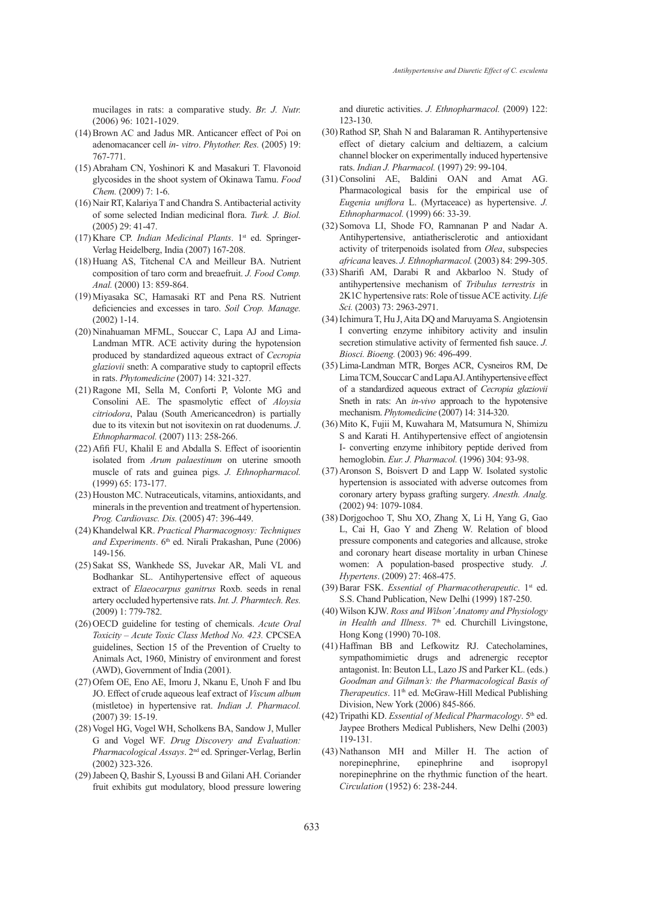mucilages in rats: a comparative study. *Br. J. Nutr.* (2006) 96: 1021-1029.

- $(14)$  Brown AC and Jadus MR. Anticancer effect of Poi on adenomacancer cell *in- vitro*. *Phytother. Res.* (2005) 19: 767-771.
- (15) Abraham CN, Yoshinori K and Masakuri T. Flavonoid glycosides in the shoot system of Okinawa Tamu. *Food Chem.* (2009) 7: 1-6.
- (16) Nair RT, Kalariya T and Chandra S. Antibacterial activity of some selected Indian medicinal flora. *Turk. J. Biol.* (2005) 29: 41-47.
- (17) Khare CP. *Indian Medicinal Plants*. 1<sup>st</sup> ed. Springer-Verlag Heidelberg, India (2007) 167-208.
- (18) Huang AS, Titchenal CA and Meilleur BA. Nutrient composition of taro corm and breaefruit. *J. Food Comp. Anal.* (2000) 13: 859-864.
- (19) Miyasaka SC, Hamasaki RT and Pena RS. Nutrient deficiencies and excesses in taro. *Soil Crop. Manage.* (2002) 1-14.
- (20) Ninahuaman MFML, Souccar C, Lapa AJ and Lima-Landman MTR. ACE activity during the hypotension produced by standardized aqueous extract of *Cecropia glaziovii* sneth: A comparative study to captopril effects in rats. *Phytomedicine* (2007) 14: 321-327.
- (21) Ragone MI, Sella M, Conforti P, Volonte MG and Consolini AE. The spasmolytic effect of *Aloysia citriodora*, Palau (South Americancedron) is partially due to its vitexin but not isovitexin on rat duodenums. *J*. *Ethnopharmacol.* (2007) 113: 258-266.
- $(22)$  Afifi FU, Khalil E and Abdalla S. Effect of isoorientin isolated from *Arum palaestinum* on uterine smooth muscle of rats and guinea pigs. *J. Ethnopharmacol.* (1999) 65: 173-177.
- (23) Houston MC. Nutraceuticals, vitamins, antioxidants, and minerals in the prevention and treatment of hypertension. *Prog. Cardiovasc. Dis.* (2005) 47: 396-449.
- (24) Khandelwal KR. Practical Pharmacognosy: Techniques and Experiments. 6<sup>th</sup> ed. Nirali Prakashan, Pune (2006) 149-156.
- (25) Sakat SS, Wankhede SS, Juvekar AR, Mali VL and Bodhankar SL. Antihypertensive effect of aqueous extract of *Elaeocarpus ganitrus* Roxb. seeds in renal artery occluded hypertensive rats. *Int. J. Pharmtech. Res.* (2009) 1: 779-782.
- (26) OECD guideline for testing of chemicals. *Acute Oral Toxicity – Acute Toxic Class Method No. 423.* CPCSEA guidelines, Section 15 of the Prevention of Cruelty to Animals Act, 1960, Ministry of environment and forest (AWD), Government of India (2001).
- (27) Ofem OE, Eno AE, Imoru J, Nkanu E, Unoh F and Ibu JO. Effect of crude aqueous leaf extract of *Viscum album* (mistletoe) in hypertensive rat. *Indian J. Pharmacol.* (2007) 39: 15-19.
- (28) Vogel HG, Vogel WH, Scholkens BA, Sandow J, Muller G and Vogel WF. *Drug Discovery and Evaluation: Pharmacological Assays*. 2nd ed. Springer-Verlag, Berlin (2002) 323-326.
- (29) Jabeen Q, Bashir S, Lyoussi B and Gilani AH. Coriander fruit exhibits gut modulatory, blood pressure lowering

and diuretic activities. *J. Ethnopharmacol.* (2009) 122: 123-130.

- $(30)$  Rathod SP, Shah N and Balaraman R. Antihypertensive effect of dietary calcium and deltiazem, a calcium channel blocker on experimentally induced hypertensive rats. *Indian J. Pharmacol.* (1997) 29: 99-104.
- $(31)$  Consolini AE, Baldini OAN and Amat AG. Pharmacological basis for the empirical use of *Eugenia uniflora* L. (Myrtaceace) as hypertensive. *J. Ethnopharmacol.* (1999) 66: 33-39.
- (32) Somova LI, Shode FO, Ramnanan P and Nadar A. Antihypertensive, antiatherisclerotic and antioxidant activity of triterpenoids isolated from *Olea*, subspecies *africana* leaves. *J. Ethnopharmacol.* (2003) 84: 299-305.
- (33) Sharifi AM, Darabi R and Akbarloo N. Study of antihypertensive mechanism of *Tribulus terrestris* in 2K1C hypertensive rats: Role of tissue ACE activity. *Life Sci.* (2003) 73: 2963-2971.
- (34) Ichimura T, Hu J, Aita DQ and Maruyama S. Angiotensin I converting enzyme inhibitory activity and insulin secretion stimulative activity of fermented fish sauce. *J. Biosci. Bioeng.* (2003) 96: 496-499.
- Lima-Landman MTR, Borges ACR, Cysneiros RM, De (35) Lima TCM, Souccar C and Lapa AJ. Antihypertensive effect of a standardized aqueous extract of *Cecropia glaziovii* Sneth in rats: An *in-vivo* approach to the hypotensive mechanism. *Phytomedicine* (2007) 14: 314-320.
- (36) Mito K, Fujii M, Kuwahara M, Matsumura N, Shimizu S and Karati H. Antihypertensive effect of angiotensin I- converting enzyme inhibitory peptide derived from hemoglobin. *Eur. J. Pharmacol.* (1996) 304: 93-98.
- (37) Aronson S, Boisvert D and Lapp W. Isolated systolic hypertension is associated with adverse outcomes from coronary artery bypass grafting surgery. *Anesth. Analg.* (2002) 94: 1079-1084.
- Dorjgochoo T, Shu XO, Zhang X, Li H, Yang G, Gao (38) L, Cai H, Gao Y and Zheng W. Relation of blood pressure components and categories and allcause, stroke and coronary heart disease mortality in urban Chinese women: A population-based prospective study. *J. Hypertens*. (2009) 27: 468-475.
- (39) Barar FSK. *Essential of Pharmacotherapeutic*. 1<sup>st</sup> ed. S.S. Chand Publication, New Delhi (1999) 187-250.
- Wilson KJW. *Ross and Wilson' Anatomy and Physiology*  (40) *in Health and Illness*. 7<sup>th</sup> ed. Churchill Livingstone, Hong Kong (1990) 70-108.
- (41) Haffman BB and Lefkowitz RJ. Catecholamines, sympathomimietic drugs and adrenergic receptor antagonist. In: Beuton LL, Lazo JS and Parker KL. (eds.) *Goodman and Gilman's: the Pharmacological Basis of Therapeutics*. 11<sup>th</sup> ed. McGraw-Hill Medical Publishing Division, New York (2006) 845-866.
- (42) Tripathi KD. *Essential of Medical Pharmacology*. 5<sup>th</sup> ed. Jaypee Brothers Medical Publishers, New Delhi (2003) 119-131.
- (43) Nathanson MH and Miller H. The action of norepinephrine, epinephrine and isopropyl norepinephrine on the rhythmic function of the heart. *Circulation* (1952) 6: 238-244.